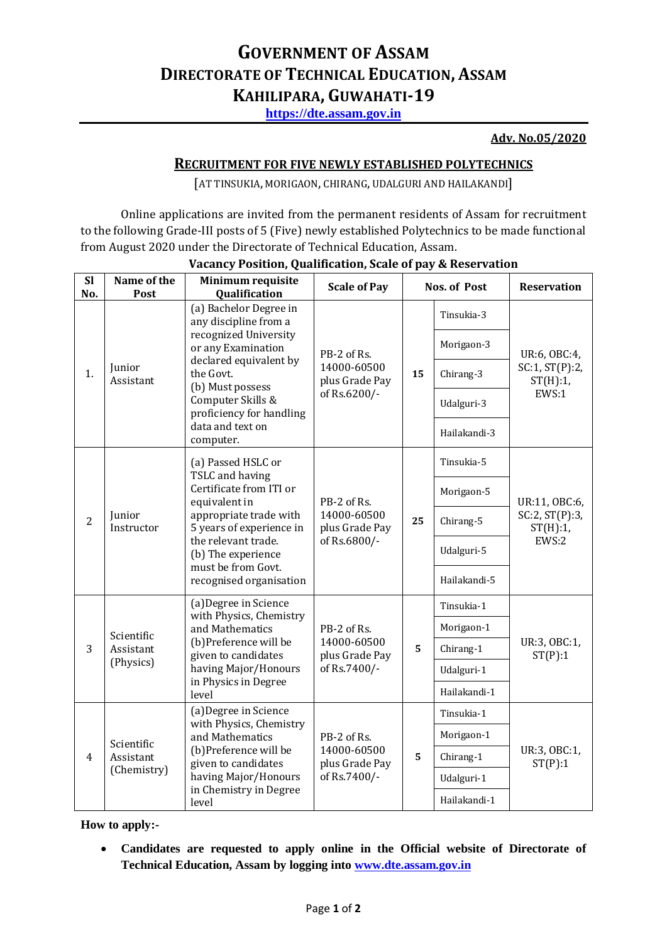# **GOVERNMENT OF ASSAM DIRECTORATE OF TECHNICAL EDUCATION, ASSAM KAHILIPARA, GUWAHATI-19**

**[https://dte.assam.gov.in](https://dte.assam.gov.in/)**

### **Adv. No.05/2020**

## **RECRUITMENT FOR FIVE NEWLY ESTABLISHED POLYTECHNICS**

[AT TINSUKIA, MORIGAON, CHIRANG, UDALGURI AND HAILAKANDI]

Online applications are invited from the permanent residents of Assam for recruitment to the following Grade-III posts of 5 (Five) newly established Polytechnics to be made functional from August 2020 under the Directorate of Technical Education, Assam.

| <b>Sl</b><br>No. | Name of the<br><b>Post</b>             | Minimum requisite<br>Qualification                                                                                                                                                                                                          | <b>Scale of Pay</b>                                          | <b>Nos. of Post</b> |              | <b>Reservation</b>                                      |
|------------------|----------------------------------------|---------------------------------------------------------------------------------------------------------------------------------------------------------------------------------------------------------------------------------------------|--------------------------------------------------------------|---------------------|--------------|---------------------------------------------------------|
| 1.               | Junior<br>Assistant                    | (a) Bachelor Degree in<br>any discipline from a<br>recognized University<br>or any Examination<br>declared equivalent by<br>the Govt.<br>(b) Must possess<br>Computer Skills &<br>proficiency for handling<br>data and text on<br>computer. | PB-2 of Rs.<br>14000-60500<br>plus Grade Pay<br>of Rs.6200/- | 15                  | Tinsukia-3   | UR:6, OBC:4,<br>SC:1, ST(P):2,<br>ST(H):1<br>EWS:1      |
|                  |                                        |                                                                                                                                                                                                                                             |                                                              |                     | Morigaon-3   |                                                         |
|                  |                                        |                                                                                                                                                                                                                                             |                                                              |                     | Chirang-3    |                                                         |
|                  |                                        |                                                                                                                                                                                                                                             |                                                              |                     | Udalguri-3   |                                                         |
|                  |                                        |                                                                                                                                                                                                                                             |                                                              |                     | Hailakandi-3 |                                                         |
| $\overline{2}$   | Junior<br>Instructor                   | (a) Passed HSLC or<br>TSLC and having<br>Certificate from ITI or<br>equivalent in<br>appropriate trade with<br>5 years of experience in<br>the relevant trade.<br>(b) The experience<br>must be from Govt.<br>recognised organisation       | PB-2 of Rs.<br>14000-60500<br>plus Grade Pay<br>of Rs.6800/- | 25                  | Tinsukia-5   | UR:11, OBC:6,<br>SC:2, ST(P):3,<br>$ST(H):1$ ,<br>EWS:2 |
|                  |                                        |                                                                                                                                                                                                                                             |                                                              |                     | Morigaon-5   |                                                         |
|                  |                                        |                                                                                                                                                                                                                                             |                                                              |                     | Chirang-5    |                                                         |
|                  |                                        |                                                                                                                                                                                                                                             |                                                              |                     | Udalguri-5   |                                                         |
|                  |                                        |                                                                                                                                                                                                                                             |                                                              |                     | Hailakandi-5 |                                                         |
| 3                | Scientific<br>Assistant<br>(Physics)   | (a) Degree in Science<br>with Physics, Chemistry<br>and Mathematics<br>(b)Preference will be<br>given to candidates<br>having Major/Honours<br>in Physics in Degree<br>level                                                                | PB-2 of Rs.<br>14000-60500<br>plus Grade Pay<br>of Rs.7400/- | 5                   | Tinsukia-1   | UR:3, OBC:1,<br>ST(P):1                                 |
|                  |                                        |                                                                                                                                                                                                                                             |                                                              |                     | Morigaon-1   |                                                         |
|                  |                                        |                                                                                                                                                                                                                                             |                                                              |                     | Chirang-1    |                                                         |
|                  |                                        |                                                                                                                                                                                                                                             |                                                              |                     | Udalguri-1   |                                                         |
|                  |                                        |                                                                                                                                                                                                                                             |                                                              |                     | Hailakandi-1 |                                                         |
| 4                | Scientific<br>Assistant<br>(Chemistry) | (a) Degree in Science<br>with Physics, Chemistry<br>and Mathematics<br>(b)Preference will be<br>given to candidates<br>having Major/Honours<br>in Chemistry in Degree<br>level                                                              | PB-2 of Rs.<br>14000-60500<br>plus Grade Pay<br>of Rs.7400/- | 5                   | Tinsukia-1   | UR:3, OBC:1,<br>ST(P):1                                 |
|                  |                                        |                                                                                                                                                                                                                                             |                                                              |                     | Morigaon-1   |                                                         |
|                  |                                        |                                                                                                                                                                                                                                             |                                                              |                     | Chirang-1    |                                                         |
|                  |                                        |                                                                                                                                                                                                                                             |                                                              |                     | Udalguri-1   |                                                         |
|                  |                                        |                                                                                                                                                                                                                                             |                                                              |                     | Hailakandi-1 |                                                         |

### **Vacancy Position, Qualification, Scale of pay & Reservation**

**How to apply:-**

 **Candidates are requested to apply online in the Official website of Directorate of Technical Education, Assam by logging into [www.dte.assam.gov.in](http://www.dte.assam.gov.in/)**